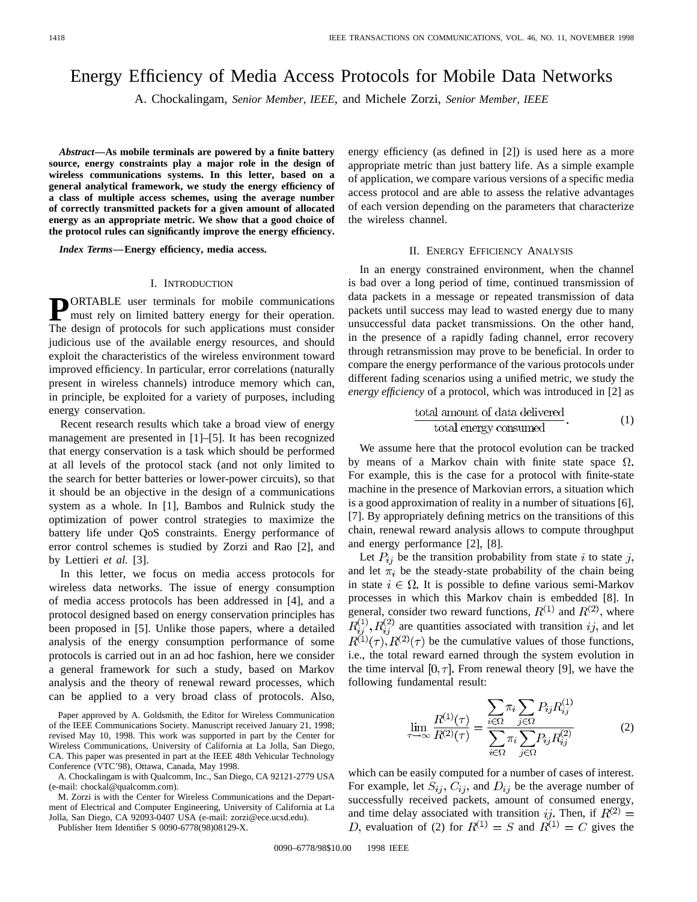# Energy Efficiency of Media Access Protocols for Mobile Data Networks

A. Chockalingam, *Senior Member, IEEE*, and Michele Zorzi, *Senior Member, IEEE*

*Abstract—***As mobile terminals are powered by a finite battery source, energy constraints play a major role in the design of wireless communications systems. In this letter, based on a general analytical framework, we study the energy efficiency of a class of multiple access schemes, using the average number of correctly transmitted packets for a given amount of allocated energy as an appropriate metric. We show that a good choice of the protocol rules can significantly improve the energy efficiency.**

*Index Terms—***Energy efficiency, media access.**

### I. INTRODUCTION

**PORTABLE** user terminals for mobile communications<br>must rely on limited battery energy for their operation. The design of protocols for such applications must consider judicious use of the available energy resources, and should exploit the characteristics of the wireless environment toward improved efficiency. In particular, error correlations (naturally present in wireless channels) introduce memory which can, in principle, be exploited for a variety of purposes, including energy conservation.

Recent research results which take a broad view of energy management are presented in [1]–[5]. It has been recognized that energy conservation is a task which should be performed at all levels of the protocol stack (and not only limited to the search for better batteries or lower-power circuits), so that it should be an objective in the design of a communications system as a whole. In [1], Bambos and Rulnick study the optimization of power control strategies to maximize the battery life under QoS constraints. Energy performance of error control schemes is studied by Zorzi and Rao [2], and by Lettieri *et al.* [3].

In this letter, we focus on media access protocols for wireless data networks. The issue of energy consumption of media access protocols has been addressed in [4], and a protocol designed based on energy conservation principles has been proposed in [5]. Unlike those papers, where a detailed analysis of the energy consumption performance of some protocols is carried out in an ad hoc fashion, here we consider a general framework for such a study, based on Markov analysis and the theory of renewal reward processes, which can be applied to a very broad class of protocols. Also,

Paper approved by A. Goldsmith, the Editor for Wireless Communication of the IEEE Communications Society. Manuscript received January 21, 1998; revised May 10, 1998. This work was supported in part by the Center for Wireless Communications, University of California at La Jolla, San Diego, CA. This paper was presented in part at the IEEE 48th Vehicular Technology Conference (VTC'98), Ottawa, Canada, May 1998.

A. Chockalingam is with Qualcomm, Inc., San Diego, CA 92121-2779 USA (e-mail: chockal@qualcomm.com).

M. Zorzi is with the Center for Wireless Communications and the Department of Electrical and Computer Engineering, University of California at La Jolla, San Diego, CA 92093-0407 USA (e-mail: zorzi@ece.ucsd.edu).

Publisher Item Identifier S 0090-6778(98)08129-X.

energy efficiency (as defined in [2]) is used here as a more appropriate metric than just battery life. As a simple example of application, we compare various versions of a specific media access protocol and are able to assess the relative advantages of each version depending on the parameters that characterize the wireless channel.

# II. ENERGY EFFICIENCY ANALYSIS

In an energy constrained environment, when the channel is bad over a long period of time, continued transmission of data packets in a message or repeated transmission of data packets until success may lead to wasted energy due to many unsuccessful data packet transmissions. On the other hand, in the presence of a rapidly fading channel, error recovery through retransmission may prove to be beneficial. In order to compare the energy performance of the various protocols under different fading scenarios using a unified metric, we study the *energy efficiency* of a protocol, which was introduced in [2] as

$$
\frac{\text{total amount of data delivered}}{\text{total energy consumed}}.\tag{1}
$$

We assume here that the protocol evolution can be tracked by means of a Markov chain with finite state space  $\Omega$ . For example, this is the case for a protocol with finite-state machine in the presence of Markovian errors, a situation which is a good approximation of reality in a number of situations [6], [7]. By appropriately defining metrics on the transitions of this chain, renewal reward analysis allows to compute throughput and energy performance [2], [8].

Let  $P_{ij}$  be the transition probability from state i to state j, and let  $\pi_i$  be the steady-state probability of the chain being in state  $i \in \Omega$ . It is possible to define various semi-Markov processes in which this Markov chain is embedded [8]. In general, consider two reward functions,  $R^{(1)}$  and  $R^{(2)}$ , where  $\widetilde{R}_{ij}^{(1)}, \widetilde{R}_{ij}^{(2)}$  are quantities associated with transition  $ij$ , and let  $R^{(1)}(\tau), R^{(2)}(\tau)$  be the cumulative values of those functions, i.e., the total reward earned through the system evolution in the time interval  $[0, \tau]$ . From renewal theory [9], we have the following fundamental result:

$$
\lim_{\tau \to \infty} \frac{R^{(1)}(\tau)}{R^{(2)}(\tau)} = \frac{\sum_{i \in \Omega} \pi_i \sum_{j \in \Omega} P_{ij} R^{(1)}_{ij}}{\sum_{i \in \Omega} \pi_i \sum_{j \in \Omega} P_{ij} R^{(2)}_{ij}}
$$
(2)

which can be easily computed for a number of cases of interest. For example, let  $S_{ij}$ ,  $C_{ij}$ , and  $D_{ij}$  be the average number of successfully received packets, amount of consumed energy, and time delay associated with transition  $ij$ . Then, if evaluation of (2) for  $R^{(1)} = S$  and  $R^{(1)} = C$  gives the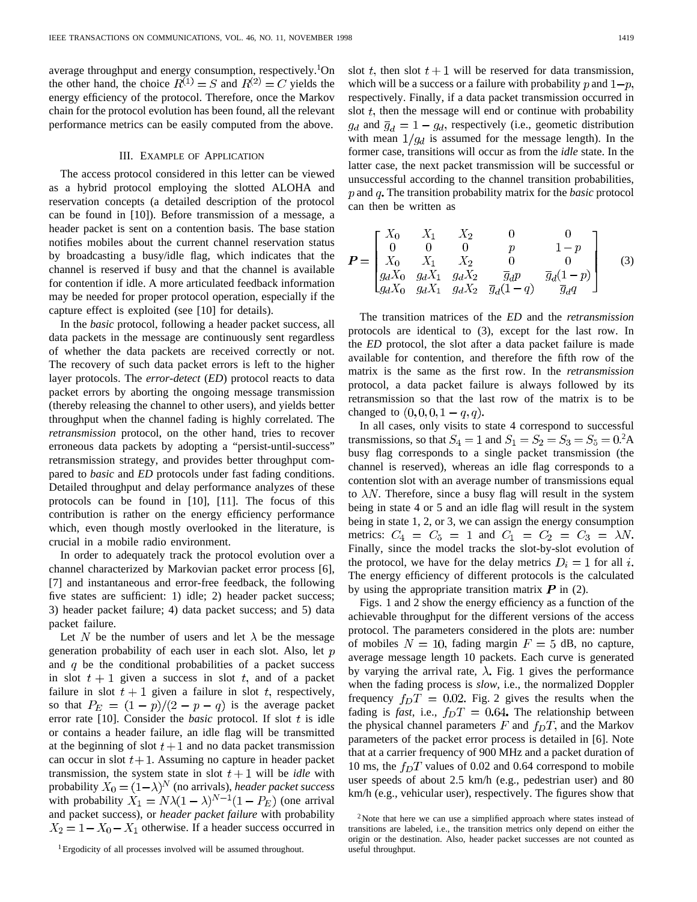average throughput and energy consumption, respectively.<sup>1</sup>On the other hand, the choice  $R^{(1)} = S$  and  $R^{(2)} = C$  yields the energy efficiency of the protocol. Therefore, once the Markov chain for the protocol evolution has been found, all the relevant performance metrics can be easily computed from the above.

## III. EXAMPLE OF APPLICATION

The access protocol considered in this letter can be viewed as a hybrid protocol employing the slotted ALOHA and reservation concepts (a detailed description of the protocol can be found in [10]). Before transmission of a message, a header packet is sent on a contention basis. The base station notifies mobiles about the current channel reservation status by broadcasting a busy/idle flag, which indicates that the channel is reserved if busy and that the channel is available for contention if idle. A more articulated feedback information may be needed for proper protocol operation, especially if the capture effect is exploited (see [10] for details).

In the *basic* protocol, following a header packet success, all data packets in the message are continuously sent regardless of whether the data packets are received correctly or not. The recovery of such data packet errors is left to the higher layer protocols. The *error-detect* (*ED*) protocol reacts to data packet errors by aborting the ongoing message transmission (thereby releasing the channel to other users), and yields better throughput when the channel fading is highly correlated. The *retransmission* protocol, on the other hand, tries to recover erroneous data packets by adopting a "persist-until-success" retransmission strategy, and provides better throughput compared to *basic* and *ED* protocols under fast fading conditions. Detailed throughput and delay performance analyzes of these protocols can be found in [10], [11]. The focus of this contribution is rather on the energy efficiency performance which, even though mostly overlooked in the literature, is crucial in a mobile radio environment.

In order to adequately track the protocol evolution over a channel characterized by Markovian packet error process [6], [7] and instantaneous and error-free feedback, the following five states are sufficient: 1) idle; 2) header packet success; 3) header packet failure; 4) data packet success; and 5) data packet failure.

Let N be the number of users and let  $\lambda$  be the message generation probability of each user in each slot. Also, let  $p$ and  $q$  be the conditional probabilities of a packet success in slot  $t + 1$  given a success in slot t, and of a packet failure in slot  $t + 1$  given a failure in slot t, respectively, so that  $P_E = (1 - p)/(2 - p - q)$  is the average packet error rate  $[10]$ . Consider the *basic* protocol. If slot  $t$  is idle or contains a header failure, an idle flag will be transmitted at the beginning of slot  $t+1$  and no data packet transmission can occur in slot  $t + 1$ . Assuming no capture in header packet transmission, the system state in slot  $t + 1$  will be *idle* with probability  $X_0 = (1 - \lambda)^N$  (no arrivals), *header packet success* with probability  $X_1 = N\lambda(1-\lambda)^{N-1}(1-P_E)$  (one arrival and packet success), or *header packet failure* with probability  $X_2 = 1 - X_0 - X_1$  otherwise. If a header success occurred in

1Ergodicity of all processes involved will be assumed throughout.

slot t, then slot  $t + 1$  will be reserved for data transmission, which will be a success or a failure with probability p and  $1-p$ . respectively. Finally, if a data packet transmission occurred in slot  $t$ , then the message will end or continue with probability  $g_d$  and  $\overline{g}_d = 1 - g_d$ , respectively (i.e., geometic distribution with mean  $1/g_d$  is assumed for the message length). In the former case, transitions will occur as from the *idle* state. In the latter case, the next packet transmission will be successful or unsuccessful according to the channel transition probabilities, p and q. The transition probability matrix for the *basic* protocol can then be written as

$$
\boldsymbol{P} = \begin{bmatrix} X_0 & X_1 & X_2 & 0 & 0 \\ 0 & 0 & 0 & p & 1-p \\ X_0 & X_1 & X_2 & 0 & 0 \\ g_d X_0 & g_d X_1 & g_d X_2 & \overline{g}_d p & \overline{g}_d (1-p) \\ g_d X_0 & g_d X_1 & g_d X_2 & \overline{g}_d (1-q) & \overline{g}_d q \end{bmatrix}
$$
(3)

The transition matrices of the *ED* and the *retransmission* protocols are identical to (3), except for the last row. In the *ED* protocol, the slot after a data packet failure is made available for contention, and therefore the fifth row of the matrix is the same as the first row. In the *retransmission* protocol, a data packet failure is always followed by its retransmission so that the last row of the matrix is to be changed to  $(0, 0, 0, 1 - q, q)$ .

In all cases, only visits to state 4 correspond to successful transmissions, so that  $S_4 = 1$  and  $S_1 = S_2 = S_3 = S_5 = 0.2$ A busy flag corresponds to a single packet transmission (the channel is reserved), whereas an idle flag corresponds to a contention slot with an average number of transmissions equal to  $\lambda N$ . Therefore, since a busy flag will result in the system being in state 4 or 5 and an idle flag will result in the system being in state 1, 2, or 3, we can assign the energy consumption metrics:  $C_4 = C_5 = 1$  and  $C_1 = C_2 = C_3 = \lambda N$ . Finally, since the model tracks the slot-by-slot evolution of the protocol, we have for the delay metrics  $D_i = 1$  for all i. The energy efficiency of different protocols is the calculated by using the appropriate transition matrix  $P$  in (2).

Figs. 1 and 2 show the energy efficiency as a function of the achievable throughput for the different versions of the access protocol. The parameters considered in the plots are: number of mobiles  $N = 10$ , fading margin  $F = 5$  dB, no capture, average message length 10 packets. Each curve is generated by varying the arrival rate,  $\lambda$ . Fig. 1 gives the performance when the fading process is *slow*, i.e., the normalized Doppler frequency  $f_D T = 0.02$ . Fig. 2 gives the results when the fading is *fast*, i.e.,  $f_D T = 0.64$ . The relationship between the physical channel parameters  $F$  and  $f_D T$ , and the Markov parameters of the packet error process is detailed in [6]. Note that at a carrier frequency of 900 MHz and a packet duration of 10 ms, the  $f_D T$  values of 0.02 and 0.64 correspond to mobile user speeds of about 2.5 km/h (e.g., pedestrian user) and 80 km/h (e.g., vehicular user), respectively. The figures show that

 $2$ Note that here we can use a simplified approach where states instead of transitions are labeled, i.e., the transition metrics only depend on either the origin or the destination. Also, header packet successes are not counted as useful throughput.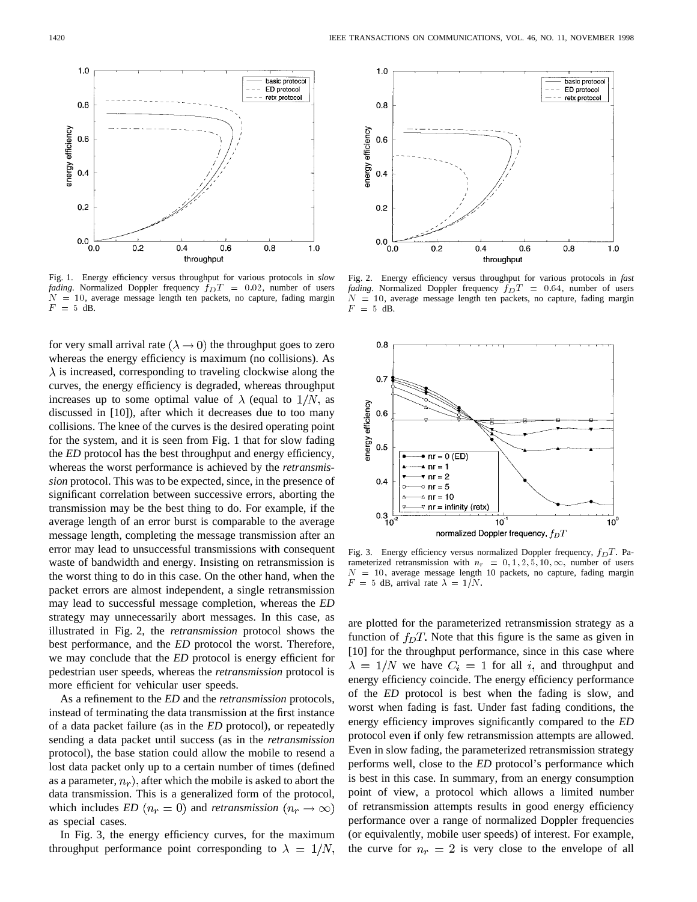

Fig. 1. Energy efficiency versus throughput for various protocols in *slow fading*. Normalized Doppler frequency  $f_D T = 0.02$ , number of users  $N = 10$ , average message length ten packets, no capture, fading margin  $F = 5$  dB.

for very small arrival rate ( $\lambda \rightarrow 0$ ) the throughput goes to zero whereas the energy efficiency is maximum (no collisions). As  $\lambda$  is increased, corresponding to traveling clockwise along the curves, the energy efficiency is degraded, whereas throughput increases up to some optimal value of  $\lambda$  (equal to  $1/N$ , as discussed in [10]), after which it decreases due to too many collisions. The knee of the curves is the desired operating point for the system, and it is seen from Fig. 1 that for slow fading the *ED* protocol has the best throughput and energy efficiency, whereas the worst performance is achieved by the *retransmission* protocol. This was to be expected, since, in the presence of significant correlation between successive errors, aborting the transmission may be the best thing to do. For example, if the average length of an error burst is comparable to the average message length, completing the message transmission after an error may lead to unsuccessful transmissions with consequent waste of bandwidth and energy. Insisting on retransmission is the worst thing to do in this case. On the other hand, when the packet errors are almost independent, a single retransmission may lead to successful message completion, whereas the *ED* strategy may unnecessarily abort messages. In this case, as illustrated in Fig. 2, the *retransmission* protocol shows the best performance, and the *ED* protocol the worst. Therefore, we may conclude that the *ED* protocol is energy efficient for pedestrian user speeds, whereas the *retransmission* protocol is more efficient for vehicular user speeds.

As a refinement to the *ED* and the *retransmission* protocols, instead of terminating the data transmission at the first instance of a data packet failure (as in the *ED* protocol), or repeatedly sending a data packet until success (as in the *retransmission* protocol), the base station could allow the mobile to resend a lost data packet only up to a certain number of times (defined as a parameter,  $n_r$ ), after which the mobile is asked to abort the data transmission. This is a generalized form of the protocol, which includes *ED*  $(n_r = 0)$  and *retransmission*  $(n_r \rightarrow \infty)$ as special cases.

In Fig. 3, the energy efficiency curves, for the maximum throughput performance point corresponding to  $\lambda = 1/N$ ,



Fig. 2. Energy efficiency versus throughput for various protocols in *fast fading*. Normalized Doppler frequency  $f_D T = 0.64$ , number of users  $N = 10$ , average message length ten packets, no capture, fading margin  $F = 5$  dB.



Fig. 3. Energy efficiency versus normalized Doppler frequency,  $f_D T$ . Parameterized retransmission with  $n_r = 0, 1, 2, 5, 10, \infty$ , number of users  $N = 10$ , average message length 10 packets, no capture, fading margin  $= 5$  dB, arrival rate  $\lambda = 1/N$ .

are plotted for the parameterized retransmission strategy as a function of  $f_D T$ . Note that this figure is the same as given in [10] for the throughput performance, since in this case where  $\lambda = 1/N$  we have  $C_i = 1$  for all i, and throughput and energy efficiency coincide. The energy efficiency performance of the *ED* protocol is best when the fading is slow, and worst when fading is fast. Under fast fading conditions, the energy efficiency improves significantly compared to the *ED* protocol even if only few retransmission attempts are allowed. Even in slow fading, the parameterized retransmission strategy performs well, close to the *ED* protocol's performance which is best in this case. In summary, from an energy consumption point of view, a protocol which allows a limited number of retransmission attempts results in good energy efficiency performance over a range of normalized Doppler frequencies (or equivalently, mobile user speeds) of interest. For example, the curve for  $n_r = 2$  is very close to the envelope of all